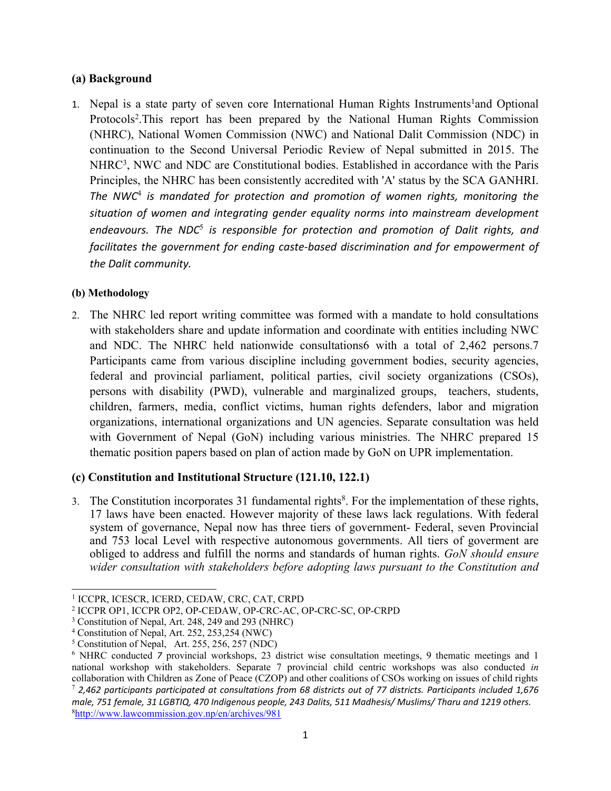# **(a) Background**

1. Nepal is a state party of seven core International Human Rights Instruments<sup>1</sup>and Optional Protocols 2 .This repor<sup>t</sup> has been prepared by the National Human Rights Commission (NHRC), National Women Commission (NWC) and National Dalit Commission (NDC) in continuation to the Second Universal Periodic Review of Nepal submitted in 2015. The NHRC<sup>3</sup>, NWC and NDC are Constitutional bodies. Established in accordance with the Paris Principles, the NHRC has been consistently accredited with 'A' status by the SCA GANHRI. *The NWC*<sup>4</sup> *is mandated for protection and promotion of women rights, monitoring the situation of women and integrating gender equality norms into mainstream development endeavours. The NDC*<sup>5</sup> *is responsible for protection and promotion of Dalit rights, and facilitates the government for ending caste-based discrimination and for empowerment of the Dalit community.*

# **(b) Methodology**

2. The NHRC led repor<sup>t</sup> writing committee was formed with <sup>a</sup> mandate to hold consultations with stakeholders share and update information and coordinate with entities including NWC and NDC. The NHRC held nationwide consultations6 with <sup>a</sup> total of 2,462 persons.7 Participants came from various discipline including governmen<sup>t</sup> bodies, security agencies, federal and provincial parliament, political parties, civil society organizations (CSOs), persons with disability (PWD), vulnerable and marginalized groups, teachers, students, children, farmers, media, conflict victims, human rights defenders, labor and migration organizations, international organizations and UN agencies. Separate consultation was held with Government of Nepal (GoN) including various ministries. The NHRC prepared 15 thematic position papers based on plan of action made by GoN on UPR implementation.

# **(c) Constitution and Institutional Structure (121.10, 122.1)**

3. The Constitution incorporates 31 fundamental rights 8 . For the implementation of these rights, 17 laws have been enacted. However majority of these laws lack regulations. With federal system of governance, Nepal now has three tiers of government- Federal, seven Provincial and 753 local Level with respective autonomous governments. All tiers of govermen<sup>t</sup> are obliged to address and fulfill the norms and standards of human rights. *GoN should ensure wider consultation with stakeholders before adopting laws pursuan<sup>t</sup> to the Constitution and*

<sup>1</sup> ICCPR, ICESCR, ICERD, CEDAW, CRC, CAT, CRPD

<sup>2</sup> ICCPR OP1, ICCPR OP2, OP-CEDAW, OP-CRC-AC, OP-CRC-SC, OP-CRPD

<sup>3</sup> Constitution of Nepal, Art. 248, 249 and 293 (NHRC)

<sup>4</sup> Constitution of Nepal, Art. 252, 253,254 (NWC)

<sup>5</sup> Constitution of Nepal, Art. 255, 256, 257 (NDC)

<sup>&</sup>lt;sup>6</sup> NHRC conducted *7* provincial workshops, 23 district wise consultation meetings, 9 thematic meetings and 1 national workshop with stakeholders. Separate 7 provincial child centric workshops was also conducted *in* collaboration with Children as Zone of Peace (CZOP) and other coalitions of CSOs working on issues of child rights

<sup>7</sup> *2,462 participants participated at consultations from 68 districts out of 77 districts. Participants included 1,676* male, 751 female, 31 LGBTIQ, 470 Indigenous people, 243 Dalits, 511 Madhesis/ Muslims/ Tharu and 1219 others. 8 <http://www.lawcommission.gov.np/en/archives/981>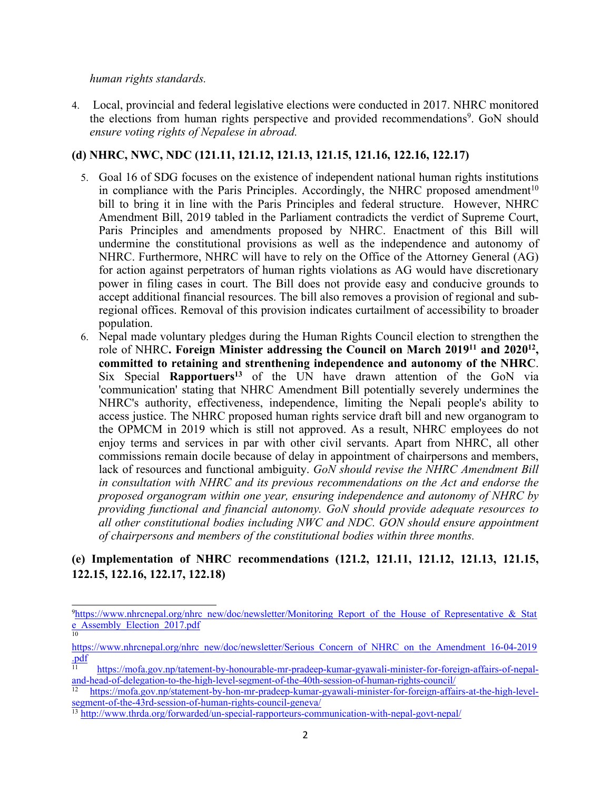#### *human rights standards.*

10

4. Local, provincial and federal legislative elections were conducted in 2017. NHRC monitored the elections from human rights perspective and provided recommendations<sup>9</sup>. GoN should *ensure voting rights of Nepalese in abroad.*

## **(d) NHRC, NWC, NDC (121.11, 121.12, 121.13, 121.15, 121.16, 122.16, 122.17)**

- 5. Goal 16 of SDG focuses on the existence of independent national human rights institutions in compliance with the Paris Principles. Accordingly, the NHRC proposed amendment<sup>10</sup> bill to bring it in line with the Paris Principles and federal structure. However, NHRC Amendment Bill, 2019 tabled in the Parliament contradicts the verdict of Supreme Court, Paris Principles and amendments proposed by NHRC. Enactment of this Bill will undermine the constitutional provisions as well as the independence and autonomy of NHRC. Furthermore, NHRC will have to rely on the Office of the Attorney General (AG) for action against perpetrators of human rights violations as AG would have discretionary power in filing cases in court. The Bill does not provide easy and conducive grounds to accep<sup>t</sup> additional financial resources. The bill also removes <sup>a</sup> provision of regional and subregional offices. Removal of this provision indicates curtailment of accessibility to broader population.
- 6. Nepal made voluntary pledges during the Human Rights Council election to strengthen the role of NHRC**. Foreign Minister addressing the Council on March 2019<sup>11</sup> and 2020<sup>12</sup> , committed to retaining and strenthening independence and autonomy of the NHRC**. Six Special **Rapportuers 13** of the UN have drawn attention of the GoN via 'communication' stating that NHRC Amendment Bill potentially severely undermines the NHRC's authority, effectiveness, independence, limiting the Nepali people's ability to access justice. The NHRC proposed human rights service draft bill and new organogram to the OPMCM in 2019 which is still not approved. As <sup>a</sup> result, NHRC employees do not enjoy terms and services in par with other civil servants. Apart from NHRC, all other commissions remain docile because of delay in appointment of chairpersons and members, lack of resources and functional ambiguity. *GoN should revise the NHRC Amendment Bill in consultation with NHRC and its previous recommendations on the Act and endorse the proposed organogram within one year, ensuring independence and autonomy of NHRC by providing functional and financial autonomy. GoN should provide adequate resources to all other constitutional bodies including NWC and NDC. GON should ensure appointment of chairpersons and members of the constitutional bodies within three months.*

# **(e) Implementation of NHRC recommendations (121.2, 121.11, 121.12, 121.13, 121.15, 122.15, 122.16, 122.17, 122.18)**

<sup>&</sup>lt;sup>9</sup>[https://www.nhrcnepal.org/nhrc\\_new/doc/newsletter/Monitoring\\_Report\\_of\\_the\\_House\\_of\\_Representative\\_&\\_Stat](https://www.nhrcnepal.org/nhrc_new/doc/newsletter/Monitoring_Report_of_the_House_of_Representative_&_State_Assembly_Election_2017.pdf) [e\\_Assembly\\_Election\\_2017.pdf](https://www.nhrcnepal.org/nhrc_new/doc/newsletter/Monitoring_Report_of_the_House_of_Representative_&_State_Assembly_Election_2017.pdf)

[https://www.nhrcnepal.org/nhrc\\_new/doc/newsletter/Serious\\_Concern\\_of\\_NHRC\\_on\\_the\\_Amendment\\_16-04-2019](https://www.nhrcnepal.org/nhrc_new/doc/newsletter/Serious_Concern_of_NHRC_on_the_Amendment_16-04-2019.pdf) [.pdf](https://www.nhrcnepal.org/nhrc_new/doc/newsletter/Serious_Concern_of_NHRC_on_the_Amendment_16-04-2019.pdf)

<sup>11</sup> [https://mofa.gov.np/tatement-by-honourable-mr-pradeep-kumar-gyawali-minister-for-foreign-affairs-of-nepal](https://mofa.gov.np/tatement-by-honourable-mr-pradeep-kumar-gyawali-minister-for-foreign-affairs-of-nepal-and-head-of-delegation-to-the-high-level-segment-of-the-40th-session-of-human-rights-council/)[and-head-of-delegation-to-the-high-level-segment-of-the-40th-session-of-human-rights-council/](https://mofa.gov.np/tatement-by-honourable-mr-pradeep-kumar-gyawali-minister-for-foreign-affairs-of-nepal-and-head-of-delegation-to-the-high-level-segment-of-the-40th-session-of-human-rights-council/) 12

[https://mofa.gov.np/statement-by-hon-mr-pradeep-kumar-gyawali-minister-for-foreign-affairs-at-the-high-level](https://mofa.gov.np/statement-by-hon-mr-pradeep-kumar-gyawali-minister-for-foreign-affairs-at-the-high-level-segment-of-the-43rd-session-of-human-rights-council-geneva/)segmen[t-of-the-43rd-session-of-human-rights-council-geneva/](https://mofa.gov.np/statement-by-hon-mr-pradeep-kumar-gyawali-minister-for-foreign-affairs-at-the-high-level-segment-of-the-43rd-session-of-human-rights-council-geneva/)

<sup>&</sup>lt;sup>13</sup> <http://www.thrda.org/forwarded/un-special-rapporteurs-communication-with-nepal-govt-nepal/>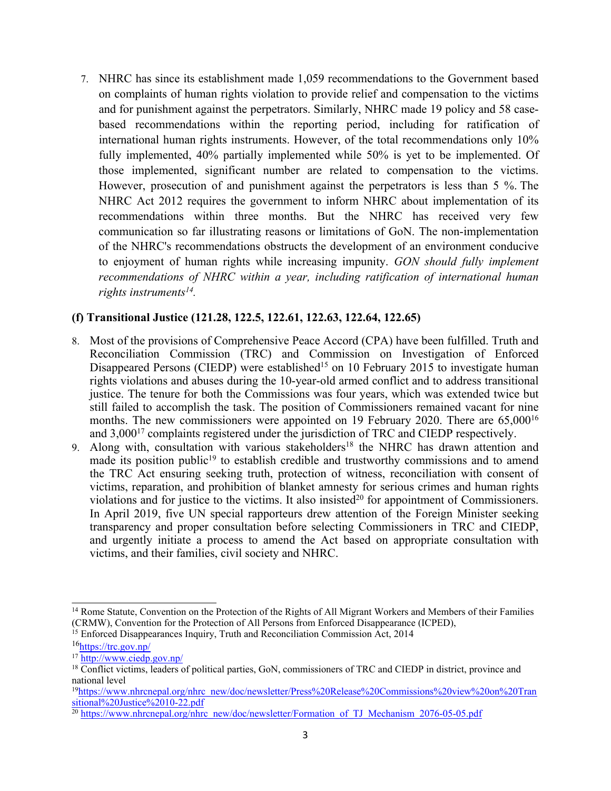7. NHRC has since its establishment made 1,059 recommendations to the Government based on complaints of human rights violation to provide relief and compensation to the victims and for punishment against the perpetrators. Similarly, NHRC made 19 policy and 58 casebased recommendations within the reporting period, including for ratification of international human rights instruments. However, of the total recommendations only 10% fully implemented, 40% partially implemented while 50% is ye<sup>t</sup> to be implemented. Of those implemented, significant number are related to compensation to the victims. However, prosecution of and punishment against the perpetrators is less than 5 %. The NHRC Act 2012 requires the governmen<sup>t</sup> to inform NHRC about implementation of its recommendations within three months. But the NHRC has received very few communication so far illustrating reasons or limitations of GoN. The non-implementation of the NHRC's recommendations obstructs the development of an environment conducive to enjoyment of human rights while increasing impunity. *GON should fully implement recommendations of NHRC within <sup>a</sup> year, including ratification of international human rights instruments 14 .*

# **(f) Transitional Justice (121.28, 122.5, 122.61, 122.63, 122.64, 122.65)**

- 8. Most of the provisions of Comprehensive Peace Accord (CPA) have been fulfilled. Truth and Reconciliation Commission (TRC) and Commission on Investigation of Enforced Disappeared Persons (CIEDP) were established<sup>15</sup> on 10 February 2015 to investigate human rights violations and abuses during the 10-year-old armed conflict and to address transitional justice. The tenure for both the Commissions was four years, which was extended twice but still failed to accomplish the task. The position of Commissioners remained vacant for nine months. The new commissioners were appointed on 19 February 2020. There are 65,000<sup>16</sup> and  $3,000^{17}$  complaints registered under the jurisdiction of TRC and CIEDP respectively.
- 9. Along with, consultation with various stakeholders<sup>18</sup> the NHRC has drawn attention and made its position public<sup>19</sup> to establish credible and trustworthy commissions and to amend the TRC Act ensuring seeking truth, protection of witness, reconciliation with consent of victims, reparation, and prohibition of blanket amnesty for serious crimes and human rights violations and for justice to the victims. It also insisted<sup>20</sup> for appointment of Commissioners. In April 2019, five UN special rapporteurs drew attention of the [Foreign](https://www.ohchr.org/Documents/Issues/Truth/OL_NPL_1_2019.pdf?fbclid=IwAR0vnb7O9xNwsfgetMfbzrQcMXzcHU74qXuOcCd-WS2H-HSQlK1VYevOhc4) Minister seeking transparency and proper consultation before selecting Commissioners in TRC and CIEDP, and urgently initiate <sup>a</sup> process to amend the Act based on appropriate consultation with victims, and their families, civil society and NHRC.

<sup>&</sup>lt;sup>14</sup> Rome Statute, Convention on the Protection of the Rights of All Migrant Workers and Members of their Families (CRMW), Convention for the Protection of All Persons from Enforced Disappearance (ICPED),

<sup>&</sup>lt;sup>15</sup> Enforced Disappearances Inquiry, Truth and Reconciliation Commission Act, 2014

<sup>&</sup>lt;sup>16</sup><https://trc.gov.np/>

<sup>&</sup>lt;sup>17</sup> <http://www.ciedp.gov.np/>

<sup>18</sup> Conflict victims, leaders of political parties, GoN, commissioners of TRC and CIEDP in district, province and national level

<sup>&</sup>lt;sup>19</sup>[https://www.nhrcnepal.org/nhrc\\_new/doc/newsletter/Press%20Release%20Commissions%20view%20on%20Tran](https://www.nhrcnepal.org/nhrc_new/doc/newsletter/Press%20Release%20Commissions%20view%20on%20Transitional%20Justice%2010-22.pdf) [sitional%20Justice%2010-22.pdf](https://www.nhrcnepal.org/nhrc_new/doc/newsletter/Press%20Release%20Commissions%20view%20on%20Transitional%20Justice%2010-22.pdf)

<sup>&</sup>lt;sup>20</sup> [https://www.nhrcnepal.org/nhrc\\_new/doc/newsletter/Formation\\_of\\_TJ\\_Mechanism\\_2076-05-05.pdf](https://www.nhrcnepal.org/nhrc_new/doc/newsletter/Formation_of_TJ_Mechanism_2076-05-05.pdf)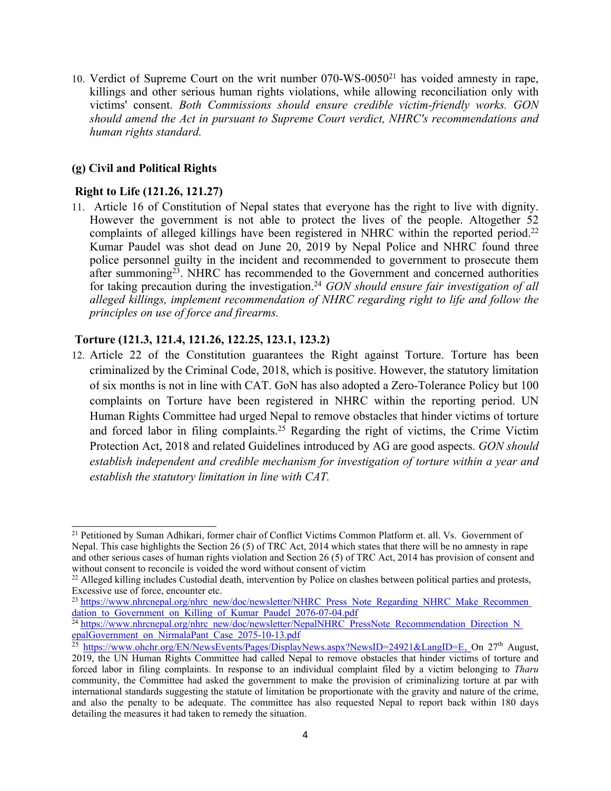10. Verdict of Supreme Court on the writ number 070-WS-0050<sup>21</sup> has voided amnesty in rape, killings and other serious human rights violations, while allowing reconciliation only with victims' consent. *Both Commissions should ensure credible victim-friendly works. GON should amend the Act in pursuan<sup>t</sup> to Supreme Court verdict, NHRC's recommendations and human rights standard.*

#### **(g) Civil and Political Rights**

## **Right to Life (121.26, 121.27)**

11. Article 16 of Constitution of Nepal states that everyone has the right to live with dignity. However the governmen<sup>t</sup> is not able to protect the lives of the people. Altogether 52 complaints of alleged killings have been registered in NHRC within the reported period.<sup>22</sup> Kumar Paudel was shot dead on June 20, 2019 by Nepal Police and NHRC found three police personnel guilty in the incident and recommended to governmen<sup>t</sup> to prosecute them after summoning<sup>23</sup>. NHRC has recommended to the Government and concerned authorities for taking precaution during the investigation. <sup>24</sup> *GON should ensure fair investigation of all alleged killings, implement recommendation of NHRC regarding right to life and follow the principles on use of force and firearms.*

## **Torture (121.3, 121.4, 121.26, 122.25, 123.1, 123.2)**

12. Article 22 of the Constitution guarantees the Right against Torture. Torture has been criminalized by the Criminal Code, 2018, which is positive. However, the statutory limitation of six months is not in line with CAT. GoN has also adopted <sup>a</sup> Zero-Tolerance Policy but 100 complaints on Torture have been registered in NHRC within the reporting period. UN Human Rights Committee had urged Nepal to remove obstacles that hinder victims of torture and forced labor in filing complaints.<sup>25</sup> Regarding the right of victims, the Crime Victim Protection Act, 2018 and related Guidelines introduced by AG are good aspects. *GON should establish independent and credible mechanism for investigation of torture within <sup>a</sup> year and establish the statutory limitation in line with CAT.*

<sup>&</sup>lt;sup>21</sup> Petitioned by Suman Adhikari, former chair of Conflict Victims Common Platform et. all. Vs. Government of Nepal. This case highlights the Section 26 (5) of TRC Act, 2014 which states that there will be no amnesty in rape and other serious cases of human rights violation and Section 26 (5) of TRC Act, 2014 has provision of consent and without consent to reconcile is voided the word without consent of victim

 $^{22}$  Alleged killing includes Custodial death, intervention by Police on clashes between political parties and protests, Excessive use of force, encounter etc.

<sup>&</sup>lt;sup>23</sup> [https://www.nhrcnepal.org/nhrc\\_new/doc/newsletter/NHRC\\_Press\\_Note\\_Regarding\\_NHRC\\_Make\\_Recommen](https://www.nhrcnepal.org/nhrc_new/doc/newsletter/NHRC_Press_Note_Regarding_NHRC_Make_Recommen) dation to Government on Killing of Kumar Paudel 2076-07-04.pdf

<sup>&</sup>lt;sup>24</sup> [https://www.nhrcnepal.org/nhrc\\_new/doc/newsletter/NepalNHRC\\_PressNote\\_Recommendation\\_Direction\\_N](https://www.nhrcnepal.org/nhrc_new/doc/newsletter/NepalNHRC_PressNote_Recommendation_Direction_N) epalGovernment\_on\_NirmalaPant\_Case\_2075-10-13.pdf

<sup>&</sup>lt;sup>25</sup> <https://www.ohchr.org/EN/NewsEvents/Pages/DisplayNews.aspx?NewsID=24921&LangID=E>, On 27<sup>th</sup> August, 2019, the UN Human Rights Committee had called Nepal to remove obstacles that hinder victims of torture and forced labor in filing complaints. In response to an individual complaint filed by <sup>a</sup> victim belonging to *Tharu* community, the Committee had asked the governmen<sup>t</sup> to make the provision of criminalizing torture at par with international standards suggesting the statute of limitation be proportionate with the gravity and nature of the crime, and also the penalty to be adequate. The committee has also requested Nepal to repor<sup>t</sup> back within 180 days detailing the measures it had taken to remedy the situation.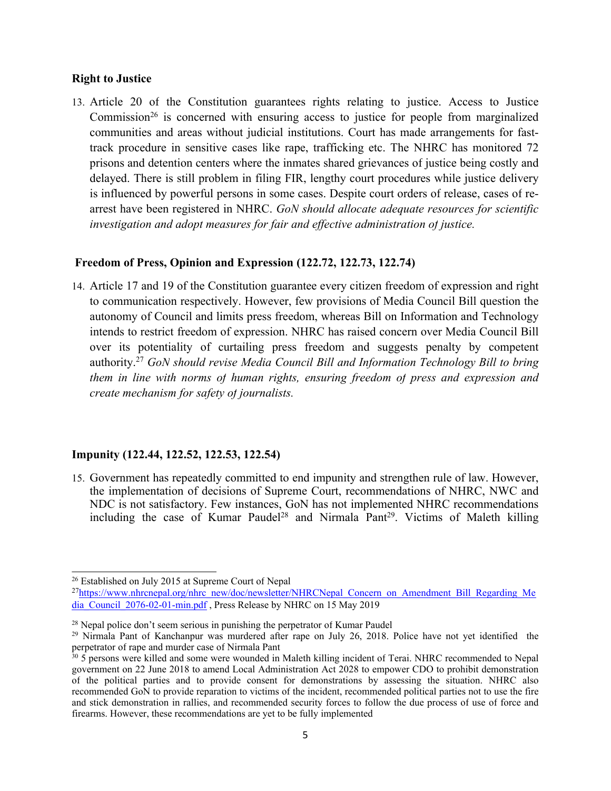#### **Right to Justice**

13. Article 20 of the Constitution guarantees rights relating to justice. Access to Justice Commission<sup>26</sup> is concerned with ensuring access to justice for people from marginalized communities and areas without judicial institutions. Court has made arrangements for fasttrack procedure in sensitive cases like rape, trafficking etc. The NHRC has monitored 72 prisons and detention centers where the inmates shared grievances of justice being costly and delayed. There is still problem in filing FIR, lengthy court procedures while justice delivery is influenced by powerful persons in some cases. Despite court orders of release, cases of rearrest have been registered in NHRC. *GoN should allocate adequate resources for scientific investigation and adopt measures for fair and effective administration of justice.*

#### **Freedom of Press, Opinion and Expression (122.72, 122.73, 122.74)**

14. Article 17 and 19 of the Constitution guarantee every citizen freedom of expression and right to communication respectively. However, few provisions of Media Council Bill question the autonomy of Council and limits press freedom, whereas Bill on Information and Technology intends to restrict freedom of expression. NHRC has raised concern over Media Council Bill over its potentiality of curtailing press freedom and suggests penalty by competent authority. <sup>27</sup> *GoN should revise Media Council Bill and Information Technology Bill to bring them in line with norms of human rights, ensuring freedom of press and expression and create mechanism for safety of journalists.*

#### **Impunity (122.44, 122.52, 122.53, 122.54)**

15. Government has repeatedly committed to end impunity and strengthen rule of law. However, the implementation of decisions of Supreme Court, recommendations of NHRC, NWC and NDC is not satisfactory. Few instances, GoN has not implemented NHRC recommendations including the case of Kumar Paudel<sup>28</sup> and Nirmala Pant<sup>29</sup>. Victims of Maleth killing

<sup>26</sup> Established on July 2015 at Supreme Court of Nepal

<sup>&</sup>lt;sup>27</sup>[https://www.nhrcnepal.org/nhrc\\_new/doc/newsletter/NHRCNepal\\_Concern\\_on\\_Amendment\\_Bill\\_Regarding\\_Me](https://www.nhrcnepal.org/nhrc_new/doc/newsletter/NHRCNepal_Concern_on_Amendment_Bill_Regarding_Media_Council_2076-02-01-min.pdf) [dia\\_Council\\_2076-02-01-min.pdf](https://www.nhrcnepal.org/nhrc_new/doc/newsletter/NHRCNepal_Concern_on_Amendment_Bill_Regarding_Media_Council_2076-02-01-min.pdf) , Press Release by NHRC on 15 May 2019

<sup>&</sup>lt;sup>28</sup> Nepal police don't seem serious in punishing the perpetrator of Kumar Paudel

<sup>&</sup>lt;sup>29</sup> Nirmala Pant of Kanchanpur was murdered after rape on July 26, 2018. Police have not yet identified the

perpetrator of rape and murder case of Nirmala Pant<br><sup>30</sup> 5 persons were killed and some were wounded in Maleth killing incident of Terai. NHRC recommended to Nepal governmen<sup>t</sup> on 22 June 2018 to amend Local Administration Act 2028 to empower CDO to prohibit demonstration of the political parties and to provide consent for demonstrations by assessing the situation. NHRC also recommended GoN to provide reparation to victims of the incident, recommended political parties not to use the fire and stick demonstration in rallies, and recommended security forces to follow the due process of use of force and firearms. However, these recommendations are ye<sup>t</sup> to be fully implemented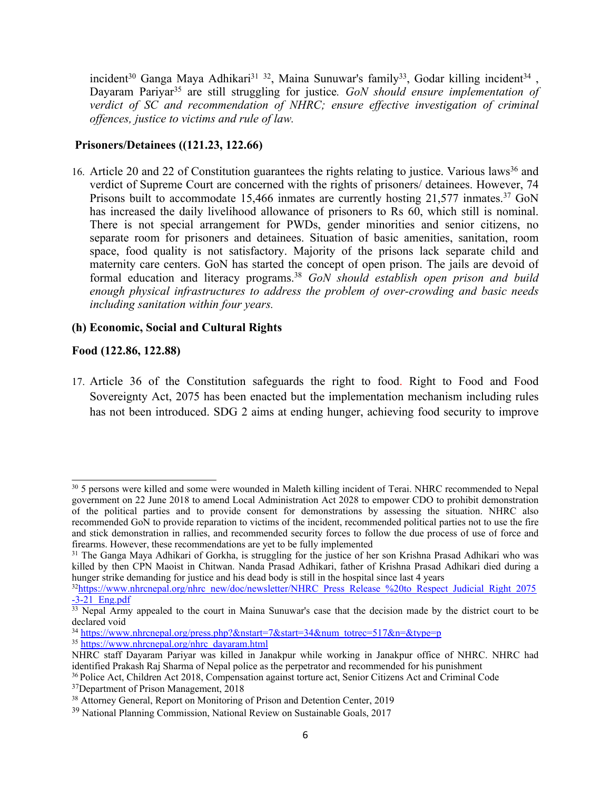incident<sup>30</sup> Ganga Maya Adhikari<sup>31 32</sup>, Maina Sunuwar's family<sup>33</sup>, Godar killing incident<sup>34</sup>, Dayaram Pariyar 35 are still struggling for justice*. GoN should ensure implementation of verdict of SC and recommendation of NHRC; ensure effective investigation of criminal offences, justice to victims and rule of law.*

## **Prisoners/Detainees ((121.23, 122.66)**

16. Article 20 and 22 of Constitution guarantees the rights relating to justice. Various laws<sup>36</sup> and verdict of Supreme Court are concerned with the rights of prisoners/ detainees. However, 74 Prisons built to accommodate 15,466 inmates are currently hosting 21,577 inmates.<sup>37</sup> GoN has increased the daily livelihood allowance of prisoners to Rs 60, which still is nominal. There is not special arrangemen<sup>t</sup> for PWDs, gender minorities and senior citizens, no separate room for prisoners and detainees. Situation of basic amenities, sanitation, room space, food quality is not satisfactory. Majority of the prisons lack separate child and maternity care centers. GoN has started the concep<sup>t</sup> of open prison. The jails are devoid of formal education and literacy programs. <sup>38</sup> *GoN should establish open prison and build enough physical infrastructures to address the problem of over-crowding and basic needs including sanitation within four years.*

#### **(h) Economic, Social and Cultural Rights**

## **Food (122.86, 122.88)**

17. Article 36 of the Constitution safeguards the right to food. Right to Food and Food Sovereignty Act, 2075 has been enacted but the implementation mechanism including rules has not been introduced. SDG 2 aims at ending hunger, achieving food security to improve

<sup>&</sup>lt;sup>30</sup> 5 persons were killed and some were wounded in Maleth killing incident of Terai. NHRC recommended to Nepal governmen<sup>t</sup> on 22 June 2018 to amend Local Administration Act 2028 to empower CDO to prohibit demonstration of the political parties and to provide consent for demonstrations by assessing the situation. NHRC also recommended GoN to provide reparation to victims of the incident, recommended political parties not to use the fire and stick demonstration in rallies, and recommended security forces to follow the due process of use of force and firearms. However, these recommendations are ye<sup>t</sup> to be fully implemented

<sup>&</sup>lt;sup>31</sup> The Ganga Maya Adhikari of Gorkha, is struggling for the justice of her son Krishna Prasad Adhikari who was killed by then CPN Maoist in Chitwan. Nanda Prasad Adhikari, father of Krishna Prasad Adhikari died during <sup>a</sup> hunger strike demanding for justice and his dead body is still in the hospital since last 4 years

<sup>&</sup>lt;sup>32</sup>[https://www.nhrcnepal.org/nhrc\\_new/doc/newsletter/NHRC\\_Press\\_Release\\_%20to\\_Respect\\_Judicial\\_Right\\_2075](https://www.nhrcnepal.org/nhrc_new/doc/newsletter/NHRC_Press_Release_%20to_Respect_Judicial_Right_2075-3-21_Eng.pdf)  $-3-21$  Eng.pdf

<sup>&</sup>lt;sup>33</sup> Nepal Army appealed to the court in Maina Sunuwar's case that the decision made by the district court to be declared void

<sup>&</sup>lt;sup>34</sup> [https://www.nhrcnepal.org/press.php?&nstart=7&start=34&num\\_totrec=517&n=&type=p](https://www.nhrcnepal.org/press.php?&nstart=7&start=34&num_totrec=517&n=&type=p) <sup>35</sup> [https://www.nhrcnepal.org/nhrc\\_dayaram.html](https://www.nhrcnepal.org/nhrc_dayaram.html)

NHRC staff Dayaram Pariyar was killed in Janakpur while working in Janakpur office of NHRC. NHRC had identified Prakash Raj Sharma of Nepal police as the perpetrator and recommended for his punishment

<sup>36</sup> Police Act, Children Act 2018, Compensation against torture act, Senior Citizens Act and Criminal Code

<sup>&</sup>lt;sup>37</sup>Department of Prison Management, 2018

<sup>&</sup>lt;sup>38</sup> Attorney General, Report on Monitoring of Prison and Detention Center, 2019

<sup>&</sup>lt;sup>39</sup> National Planning Commission, National Review on Sustainable Goals, 2017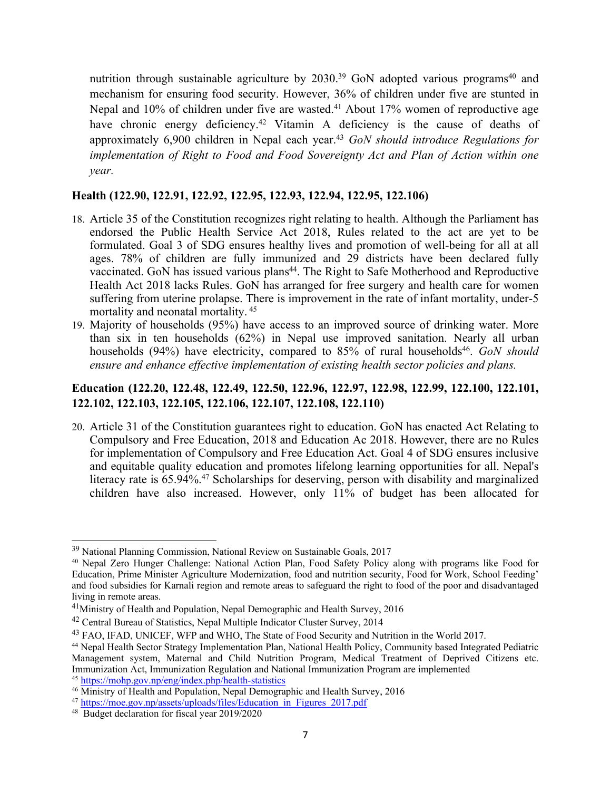nutrition through sustainable agriculture by 2030.<sup>39</sup> GoN adopted various programs<sup>40</sup> and mechanism for ensuring food security. However, 36% of children under five are stunted in Nepal and 10% of children under five are wasted. <sup>41</sup> About 17% women of reproductive age have chronic energy deficiency.<sup>42</sup> Vitamin A deficiency is the cause of deaths of approximately 6,900 children in Nepal each year. <sup>43</sup> *GoN should introduce Regulations for implementation of Right to Food and Food Sovereignty Act and Plan of Action within one year.*

#### **Health (122.90, 122.91, 122.92, 122.95, 122.93, 122.94, 122.95, 122.106)**

- 18. Article 35 of the Constitution recognizes right relating to health. Although the Parliament has endorsed the Public Health Service Act 2018, Rules related to the act are ye<sup>t</sup> to be formulated. Goal 3 of SDG ensures healthy lives and promotion of well-being for all at all ages. 78% of children are fully immunized and 29 districts have been declared fully vaccinated. GoN has issued various plans 44 . The Right to Safe Motherhood and Reproductive Health Act 2018 lacks Rules. GoN has arranged for free surgery and health care for women suffering from uterine prolapse. There is improvement in the rate of infant mortality, under-5 mortality and neonatal mortality. 45
- 19. Majority of households (95%) have access to an improved source of drinking water. More than six in ten households (62%) in Nepal use improved sanitation. Nearly all urban households (94%) have electricity, compared to 85% of rural households 46 . *GoN should ensure and enhance effective implementation of existing health sector policies and plans.*

# **Education (122.20, 122.48, 122.49, 122.50, 122.96, 122.97, 122.98, 122.99, 122.100, 122.101, 122.102, 122.103, 122.105, 122.106, 122.107, 122.108, 122.110)**

20. Article 31 of the Constitution guarantees right to education. GoN has enacted Act Relating to Compulsory and Free Education, 2018 and Education Ac 2018. However, there are no Rules for implementation of Compulsory and Free Education Act. Goal 4 of SDG ensures inclusive and equitable quality education and promotes lifelong learning opportunities for all. Nepal's literacy rate is 65.94%. 47 Scholarships for deserving, person with disability and marginalized children have also increased. However, only 11% of budget has been allocated for

<sup>&</sup>lt;sup>39</sup> National Planning Commission, National Review on Sustainable Goals, 2017

<sup>40</sup> Nepal Zero Hunger Challenge: National Action Plan, Food Safety Policy along with programs like Food for Education, Prime Minister Agriculture Modernization, food and nutrition security, Food for Work, School Feeding' and food subsidies for Karnali region and remote areas to safeguard the right to food of the poor and disadvantaged living in remote areas.

<sup>&</sup>lt;sup>41</sup>Ministry of Health and Population, Nepal Demographic and Health Survey, 2016

<sup>&</sup>lt;sup>42</sup> Central Bureau of Statistics, Nepal Multiple Indicator Cluster Survey, 2014

<sup>&</sup>lt;sup>43</sup> FAO, IFAD, UNICEF, WFP and WHO, The State of Food Security and Nutrition in the World 2017.

<sup>44</sup> Nepal Health Sector Strategy Implementation Plan, National Health Policy, Community based Integrated Pediatric Management system, Maternal and Child Nutrition Program, Medical Treatment of Deprived Citizens etc. Immunization Act, Immunization Regulation and National Immunization Program are implemented <sup>45</sup> <https://mohp.gov.np/eng/index.php/health-statistics>

<sup>&</sup>lt;sup>46</sup> Ministry of Health and Population, Nepal Demographic and Health Survey, 2016

<sup>&</sup>lt;sup>47</sup> [https://moe.gov.np/assets/uploads/files/Education\\_in\\_Figures\\_2017.pdf](https://moe.gov.np/assets/uploads/files/Education_in_Figures_2017.pdf)

<sup>48</sup> Budget declaration for fiscal year 2019/2020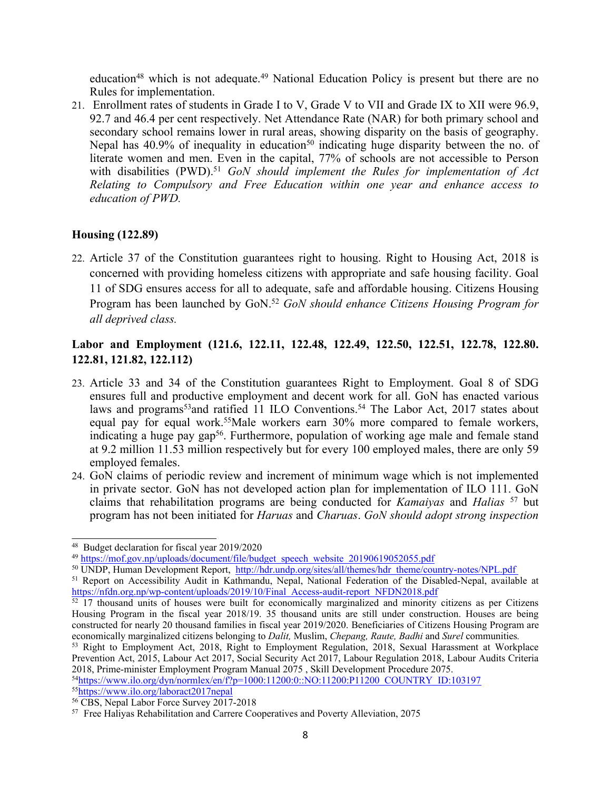education<sup>48</sup> which is not adequate.<sup>49</sup> National Education Policy is present but there are no Rules for implementation.

21. Enrollment rates of students in Grade I to V, Grade V to VII and Grade IX to XII were 96.9, 92.7 and 46.4 per cent respectively. Net Attendance Rate (NAR) for both primary school and secondary school remains lower in rural areas, showing disparity on the basis of geography. Nepal has  $40.9\%$  of inequality in education<sup>50</sup> indicating huge disparity between the no. of literate women and men. Even in the capital, 77% of schools are not accessible to Person with disabilities (PWD). <sup>51</sup> *GoN should implement the Rules for implementation of Act Relating to Compulsory and Free Education within one year and enhance access to education of PWD.*

## **Housing (122.89)**

22. Article 37 of the Constitution guarantees right to housing. Right to Housing Act, 2018 is concerned with providing homeless citizens with appropriate and safe housing facility. Goal 11 of SDG ensures access for all to adequate, safe and affordable housing. Citizens Housing Program has been launched by GoN. <sup>52</sup> *GoN should enhance Citizens Housing Program for all deprived class.*

# **Labor and Employment (121.6, 122.11, 122.48, 122.49, 122.50, 122.51, 122.78, 122.80. 122.81, 121.82, 122.112)**

- 23. Article 33 and 34 of the Constitution guarantees Right to Employment. Goal 8 of SDG ensures full and productive employment and decent work for all. GoN has enacted various laws and programs<sup>53</sup>and ratified 11 ILO Conventions.<sup>54</sup> The Labor Act, 2017 states about equal pay for equal work. <sup>55</sup>Male workers earn 30% more compared to female workers, indicating a huge pay gap<sup>56</sup>. Furthermore, population of working age male and female stand at 9.2 million 11.53 million respectively but for every 100 employed males, there are only 59 employed females.
- 24. GoN claims of periodic review and increment of minimum wage which is not implemented in private sector. GoN has not developed action plan for implementation of ILO 111. GoN claims that rehabilitation programs are being conducted for *Kamaiyas* and *Halias* 57 but program has not been initiated for *Haruas* and *Charuas*. *GoN should adopt strong inspection*

<sup>48</sup> Budget declaration for fiscal year 2019/2020

<sup>&</sup>lt;sup>49</sup> [https://mof.gov.np/uploads/document/file/budget\\_speech\\_website\\_20190619052055.pdf](https://mof.gov.np/uploads/document/file/budget_speech_website_20190619052055.pdf)

<sup>50</sup> UNDP, Human Development Report, [http://hdr.undp.org/sites/all/themes/hdr\\_theme/country-notes/NPL.pdf](http://hdr.undp.org/sites/all/themes/hdr_theme/country-notes/NPL.pdf)

<sup>51</sup> Report on Accessibility Audit in Kathmandu, Nepal, National Federation of the Disabled-Nepal, available at [https://nfdn.org.np/wp-content/uploads/2019/10/Final\\_Access-audit-report\\_NFDN2018.pdf](https://nfdn.org.np/wp-content/uploads/2019/10/Final_Access-audit-report_NFDN2018.pdf)

 $52$  17 thousand units of houses were built for economically marginalized and minority citizens as per Citizens Housing Program in the fiscal year 2018/19. 35 thousand units are still under construction. Houses are being constructed for nearly 20 thousand families in fiscal year 2019/2020. Beneficiaries of Citizens Housing Program are economically marginalized citizens belonging to *Dalit,* Muslim, *Chepang, Raute, Badhi* and *Surel* communities*.*

<sup>53</sup> Right to Employment Act, 2018, Right to Employment Regulation, 2018, Sexual Harassment at Workplace Prevention Act, 2015, Labour Act 2017, Social Security Act 2017, Labour Regulation 2018, Labour Audits Criteria 2018, Prime-minister Employment Program Manual 2075 , Skill Development Procedure 2075. 54 [https://www.ilo.org/dyn/normlex/en/f?p=1000:11200:0::NO:11200:P11200\\_COUNTRY\\_ID:103197](https://www.ilo.org/dyn/normlex/en/f?p=1000:11200:0::NO:11200:P11200_COUNTRY_ID:103197)

<sup>&</sup>lt;sup>55</sup>[https://www.ilo.org/laboract2017nepal](https://www.ilo.org/dyn/natlex/docs/ELECTRONIC/105434/128931/F-1418263960/NPL105434%20Nep.pdf)

<sup>56</sup> CBS, Nepal Labor Force Survey 2017-2018

<sup>57</sup> Free Haliyas Rehabilitation and Carrere Cooperatives and Poverty Alleviation, 2075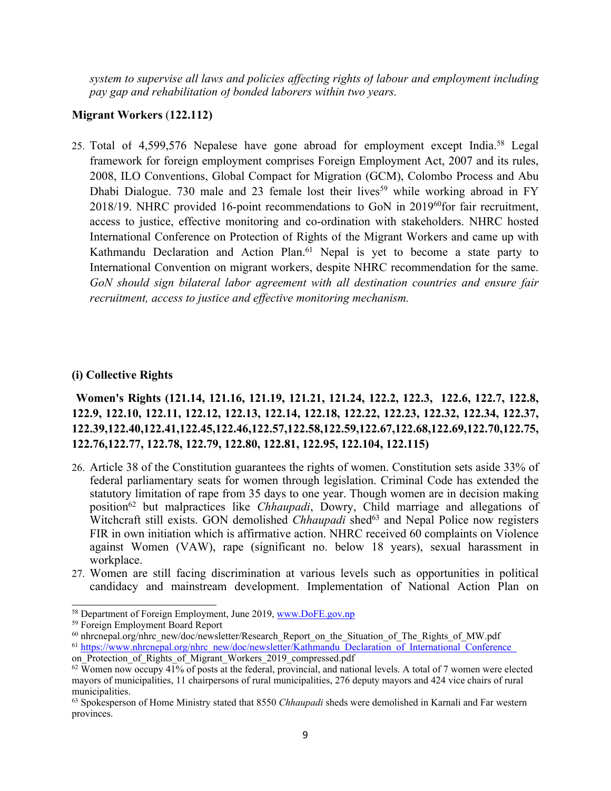*system to supervise all laws and policies affecting rights of labour and employment including pay gap and rehabilitation of bonded laborers within two years.*

## **Migrant Workers** (**122.112)**

25. Total of 4,599,576 Nepalese have gone abroad for employment except India.<sup>58</sup> Legal framework for foreign employment comprises Foreign Employment Act, 2007 and its rules, 2008, ILO Conventions, Global Compact for Migration (GCM), Colombo Process and Abu Dhabi Dialogue. 730 male and 23 female lost their lives<sup>59</sup> while working abroad in FY 2018/19. NHRC provided 16-point recommendations to GoN in 2019<sup>60</sup> for fair recruitment, access to justice, effective monitoring and co-ordination with stakeholders. NHRC hosted International Conference on Protection of Rights of the Migrant Workers and came up with Kathmandu Declaration and Action Plan. <sup>61</sup> Nepal is ye<sup>t</sup> to become <sup>a</sup> state party to International Convention on migrant workers, despite NHRC recommendation for the same. *GoN should sign bilateral labor agreemen<sup>t</sup> with all destination countries and ensure fair recruitment, access to justice and effective monitoring mechanism.*

#### **(i) Collective Rights**

**Women's Rights (121.14, 121.16, 121.19, 121.21, 121.24, 122.2, 122.3, 122.6, 122.7, 122.8, 122.9, 122.10, 122.11, 122.12, 122.13, 122.14, 122.18, 122.22, 122.23, 122.32, 122.34, 122.37, 122.39,122.40,122.41,122.45,122.46,122.57,122.58,122.59,122.67,122.68,122.69,122.70,122.75, 122.76,122.77, 122.78, 122.79, 122.80, 122.81, 122.95, 122.104, 122.115)**

- 26. Article 38 of the Constitution guarantees the rights of women. Constitution sets aside 33% of federal parliamentary seats for women through legislation. Criminal Code has extended the statutory limitation of rape from 35 days to one year. Though women are in decision making position<sup>62</sup> but malpractices like *Chhaupadi*, Dowry, Child marriage and allegations of Witchcraft still exists. GON demolished *Chhaupadi* shed<sup>63</sup> and Nepal Police now registers FIR in own initiation which is affirmative action. NHRC received 60 complaints on Violence against Women (VAW), rape (significant no. below 18 years), sexual harassment in workplace.
- 27. Women are still facing discrimination at various levels such as opportunities in political candidacy and mainstream development. Implementation of National Action Plan on

<sup>58</sup> Department of Foreign Employment, June 2019, [www.DoFE.gov.np](http://www.DoFE.gov.np)

<sup>59</sup> Foreign Employment Board Report

<sup>&</sup>lt;sup>60</sup> nhrcnepal.org/nhrc\_new/doc/newsletter/Research\_Report\_on\_the\_Situation\_of\_The\_Rights\_of\_MW.pdf <sup>61</sup> [https://www.nhrcnepal.org/nhrc\\_new/doc/newsletter/Kathmandu\\_Declaration\\_of\\_International\\_Conference\\_](https://www.nhrcnepal.org/nhrc_new/doc/newsletter/Kathmandu_Declaration_of_International_Conference_) on Protection of Rights of Migrant Workers 2019 compressed.pdf

 $62$  Women now occupy 41% of posts at the federal, provincial, and national levels. A total of 7 women were elected mayors of municipalities, 11 chairpersons of rural municipalities, 276 deputy mayors and 424 vice chairs of rural municipalities.

<sup>63</sup> Spokesperson of Home Ministry stated that 8550 *Chhaupadi* sheds were demolished in Karnali and Far western provinces.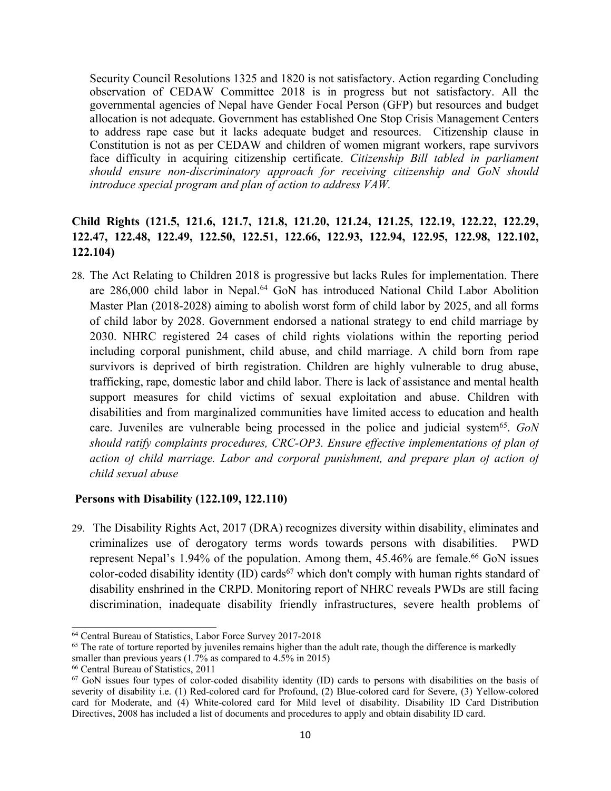Security Council Resolutions 1325 and 1820 is not satisfactory. Action regarding Concluding observation of CEDAW Committee 2018 is in progress but not satisfactory. All the governmental agencies of Nepal have Gender Focal Person (GFP) but resources and budget allocation is not adequate. Government has established One Stop Crisis Management Centers to address rape case but it lacks adequate budget and resources. Citizenship clause in Constitution is not as per CEDAW and children of women migrant workers, rape survivors face difficulty in acquiring citizenship certificate. *Citizenship Bill tabled in parliament should ensure non-discriminatory approach for receiving citizenship and GoN should introduce special program and plan of action to address VAW.*

# **Child Rights (121.5, 121.6, 121.7, 121.8, 121.20, 121.24, 121.25, 122.19, 122.22, 122.29, 122.47, 122.48, 122.49, 122.50, 122.51, 122.66, 122.93, 122.94, 122.95, 122.98, 122.102, 122.104)**

28. The Act Relating to Children 2018 is progressive but lacks Rules for implementation. There are 286,000 child labor in Nepal. <sup>64</sup> GoN has introduced National Child Labor Abolition Master Plan (2018-2028) aiming to abolish worst form of child labor by 2025, and all forms of child labor by 2028. Government endorsed <sup>a</sup> national strategy to end child marriage by 2030. NHRC registered 24 cases of child rights violations within the reporting period including corporal punishment, child abuse, and child marriage. A child born from rape survivors is deprived of birth registration. Children are highly vulnerable to drug abuse, trafficking, rape, domestic labor and child labor. There is lack of assistance and mental health suppor<sup>t</sup> measures for child victims of sexual exploitation and abuse. Children with disabilities and from marginalized communities have limited access to education and health care. Juveniles are vulnerable being processed in the police and judicial system<sup>65</sup> . *GoN should ratify complaints procedures, CRC-OP3. Ensure effective implementations of plan of action of child marriage. Labor and corporal punishment, and prepare plan of action of child sexual abuse*

#### **Persons with Disability (122.109, 122.110)**

29. The Disability Rights Act, 2017 (DRA) recognizes diversity within disability, eliminates and criminalizes use of derogatory terms words towards persons with disabilities. PWD represent Nepal's 1.94% of the population. Among them, 45.46% are female.<sup>66</sup> GoN issues color-coded disability identity (ID) cards<sup>67</sup> which don't comply with human rights standard of disability enshrined in the CRPD. Monitoring repor<sup>t</sup> of NHRC reveals PWDs are still facing discrimination, inadequate disability friendly infrastructures, severe health problems of

<sup>64</sup> Central Bureau of Statistics, Labor Force Survey 2017-2018

<sup>&</sup>lt;sup>65</sup> The rate of torture reported by juveniles remains higher than the adult rate, though the difference is markedly

smaller than previous years (1.7% as compared to 4.5% in 2015)

<sup>66</sup> Central Bureau of Statistics, 2011

<sup>67</sup> GoN issues four types of color-coded disability identity (ID) cards to persons with disabilities on the basis of severity of disability i.e. (1) Red-colored card for Profound, (2) Blue-colored card for Severe, (3) Yellow-colored card for Moderate, and (4) White-colored card for Mild level of disability. Disability ID Card Distribution Directives, 2008 has included <sup>a</sup> list of documents and procedures to apply and obtain disability ID card.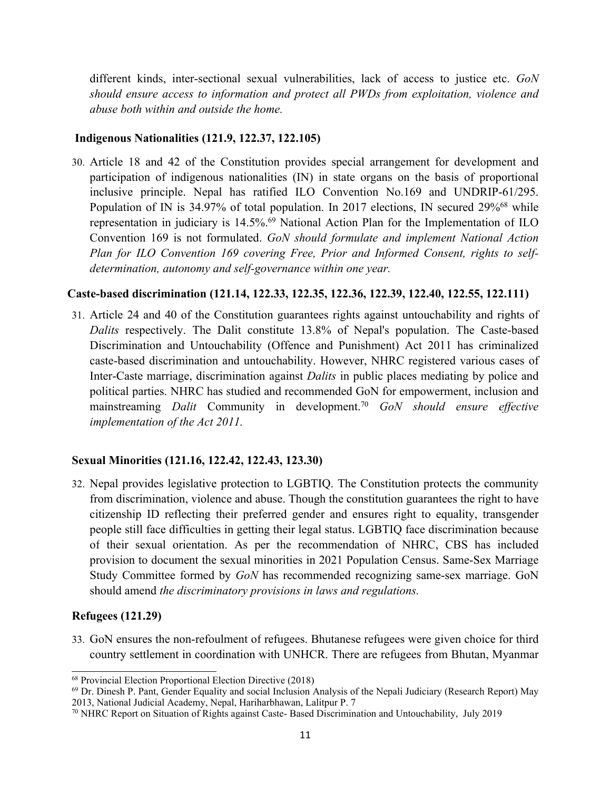different kinds, inter-sectional sexual vulnerabilities, lack of access to justice etc. *GoN should ensure access to information and protect all PWDs from exploitation, violence and abuse both within and outside the home.*

#### **Indigenous Nationalities (121.9, 122.37, 122.105)**

30. Article 18 and 42 of the Constitution provides special arrangemen<sup>t</sup> for development and participation of indigenous nationalities (IN) in state organs on the basis of proportional inclusive principle. Nepal has ratified ILO Convention No.169 and UNDRIP-61/295. Population of IN is 34.97% of total population. In 2017 elections, IN secured 29%<sup>68</sup> while representation in judiciary is 14.5%. <sup>69</sup> National Action Plan for the Implementation of ILO Convention 169 is not formulated. *GoN should formulate and implement National Action Plan for ILO Convention 169 covering Free, Prior and Informed Consent, rights to selfdetermination, autonomy and self-governance within one year.*

#### **Caste-based discrimination (121.14, 122.33, 122.35, 122.36, 122.39, 122.40, 122.55, 122.111)**

31. Article 24 and 40 of the Constitution guarantees rights against untouchability and rights of *Dalits* respectively. The Dalit constitute 13.8% of Nepal's population. The Caste-based Discrimination and Untouchability (Offence and Punishment) Act 2011 has criminalized caste-based discrimination and untouchability. However, NHRC registered various cases of Inter-Caste marriage, discrimination against *Dalits* in public places mediating by police and political parties. NHRC has studied and recommended GoN for empowerment, inclusion and mainstreaming *Dalit* Community in development. <sup>70</sup> *GoN should ensure effective implementation of the Act 2011.*

#### **Sexual Minorities (121.16, 122.42, 122.43, 123.30)**

32. Nepal provides legislative protection to LGBTIQ. The Constitution protects the community from discrimination, violence and abuse. Though the constitution guarantees the right to have citizenship ID reflecting their preferred gender and ensures right to equality, transgender people still face difficulties in getting their legal status. LGBTIQ face discrimination because of their sexual orientation. As per the recommendation of NHRC, CBS has included provision to document the sexual minorities in 2021 Population Census. Same-Sex Marriage Study Committee formed by *GoN* has recommended recognizing same-sex marriage. GoN should amend *the discriminatory provisions in laws and regulations.*

#### **Refugees (121.29)**

33. GoN ensures the non-refoulment of refugees. Bhutanese refugees were given choice for third country settlement in coordination with UNHCR. There are refugees from Bhutan, Myanmar

<sup>68</sup> Provincial Election Proportional Election Directive (2018)

<sup>69</sup> Dr. Dinesh P. Pant, Gender Equality and social Inclusion Analysis of the Nepali Judiciary (Research Report) May 2013, National Judicial Academy, Nepal, Hariharbhawan, Lalitpur P. 7

<sup>70</sup> NHRC Report on Situation of Rights against Caste- Based Discrimination and Untouchability, July 2019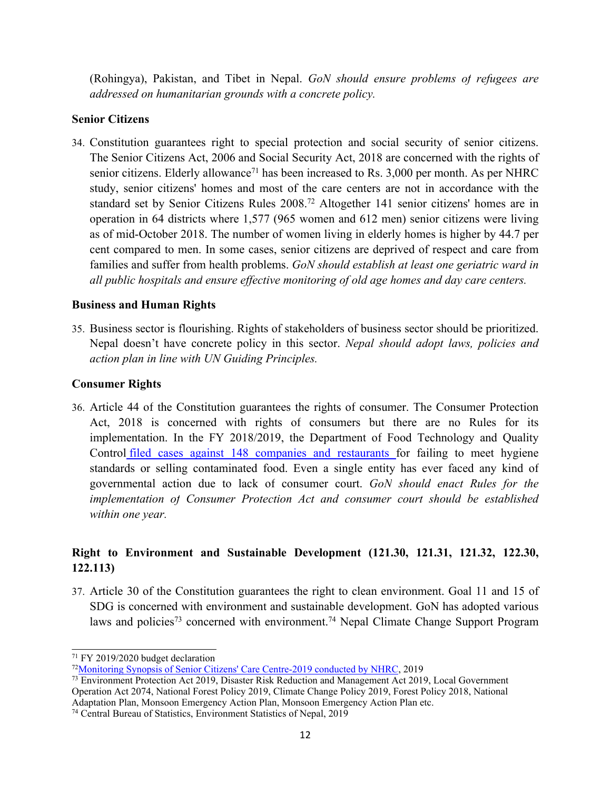(Rohingya), Pakistan, and Tibet in Nepal. *GoN should ensure problems of refugees are addressed on humanitarian grounds with <sup>a</sup> concrete policy.*

## **Senior Citizens**

34. Constitution guarantees right to special protection and social security of senior citizens. The Senior Citizens Act, 2006 and Social Security Act, 2018 are concerned with the rights of senior citizens. Elderly allowance<sup>71</sup> has been increased to Rs. 3,000 per month. As per NHRC study, senior citizens' homes and most of the care centers are not in accordance with the standard set by Senior Citizens Rules 2008. <sup>72</sup> Altogether <sup>141</sup> senior citizens' homes are in operation in 64 districts where 1,577 (965 women and 612 men) senior citizens were living as of mid-October 2018. The number of women living in elderly homes is higher by 44.7 per cent compared to men. In some cases, senior citizens are deprived of respec<sup>t</sup> and care from families and suffer from health problems. *GoN should establish at least one geriatric ward in all public hospitals and ensure effective monitoring of old age homes and day care centers.*

## **Business and Human Rights**

35. Business sector is flourishing. Rights of stakeholders of business sector should be prioritized. Nepal doesn'<sup>t</sup> have concrete policy in this sector. *Nepal should adopt laws, policies and action plan in line with UN Guiding Principles.*

## **Consumer Rights**

36. Article 44 of the Constitution guarantees the rights of consumer. The Consumer Protection Act, 2018 is concerned with rights of consumers but there are no Rules for its implementation. In the FY 2018/2019, the Department of Food Technology and Quality Control filed cases against 148 companies and [restaurants](https://kathmandupost.com/money/2019/07/30/in-the-absence-of-consumer-court-anomalies-are-rampant-in-the-marketplace) for failing to meet hygiene standards or selling contaminated food. Even <sup>a</sup> single entity has ever faced any kind of governmental action due to lack of consumer court. *GoN should enact Rules for the implementation of Consumer Protection Act and consumer court should be established within one year.*

# **Right to Environment and Sustainable Development (121.30, 121.31, 121.32, 122.30, 122.113)**

37. Article 30 of the Constitution guarantees the right to clean environment. Goal 11 and 15 of SDG is concerned with environment and sustainable development. GoN has adopted various laws and policies<sup>73</sup> concerned with environment.<sup>74</sup> Nepal Climate Change Support Program

<sup>74</sup> Central Bureau of Statistics, Environment Statistics of Nepal, 2019

<sup>&</sup>lt;sup>71</sup> FY 2019/2020 budget declaration

<sup>72</sup>[Monitoring](http://www.nhrcnepal.org/nhrc_new/doc/newsletter/Monitoring_Synopsis_of_the_Senior_Citizens_Care_Centers_2019-min.pdf) Synopsis of Senior Citizens' Care Centre-2019 conducted by NHRC, 2019

<sup>&</sup>lt;sup>73</sup> Environment Protection Act 2019, Disaster Risk Reduction and Management Act 2019, Local Government Operation Act 2074, National Forest Policy 2019, Climate Change Policy 2019, Forest Policy 2018, National Adaptation Plan, Monsoon Emergency Action Plan, Monsoon Emergency Action Plan etc.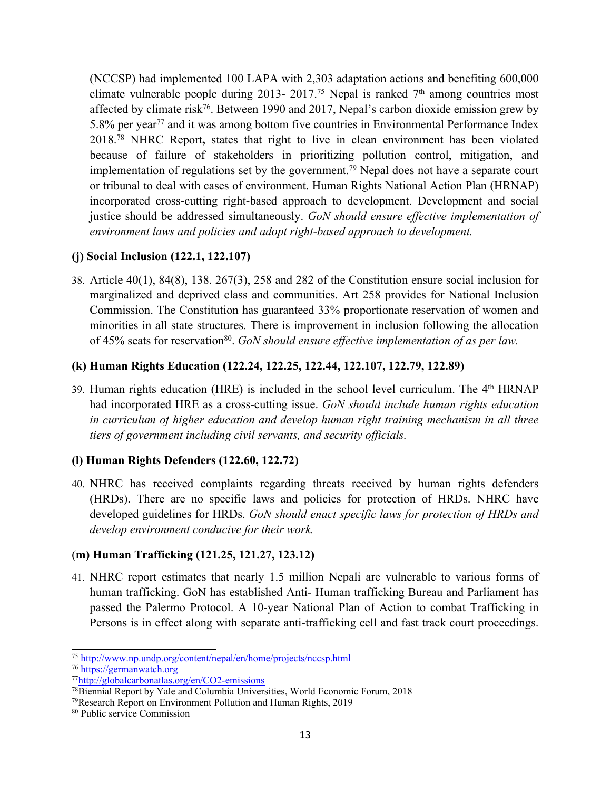(NCCSP) had implemented 100 LAPA with 2,303 adaptation actions and benefiting 600,000 climate vulnerable people during 2013- 2017.<sup>75</sup> Nepal is ranked 7<sup>th</sup> among countries most affected by climate risk<sup>76</sup>. Between 1990 and 2017, Nepal's carbon dioxide emission grew by 5.8% per year<sup>77</sup> and it was among bottom five countries in Environmental Performance Index 2018. <sup>78</sup> NHRC Report**,** states that right to live in clean environment has been violated because of failure of stakeholders in prioritizing pollution control, mitigation, and implementation of regulations set by the government. <sup>79</sup> Nepal does not have <sup>a</sup> separate court or tribunal to deal with cases of environment. Human Rights National Action Plan (HRNAP) incorporated cross-cutting right-based approach to development. Development and social justice should be addressed simultaneously. *GoN should ensure effective implementation of environment laws and policies and adopt right-based approach to development.*

# **(j) Social Inclusion (122.1, 122.107)**

38. Article 40(1), 84(8), 138. 267(3), 258 and 282 of the Constitution ensure social inclusion for marginalized and deprived class and communities. Art 258 provides for National Inclusion Commission. The Constitution has guaranteed 33% proportionate reservation of women and minorities in all state structures. There is improvement in inclusion following the allocation of 45% seats for reservation<sup>80</sup> . *GoN should ensure effective implementation of as per law.*

# **(k) Human Rights Education (122.24, 122.25, 122.44, 122.107, 122.79, 122.89)**

39. Human rights education (HRE) is included in the school level curriculum. The <sup>4</sup>th HRNAP had incorporated HRE as <sup>a</sup> cross-cutting issue. *GoN should include human rights education in curriculum of higher education and develop human right training mechanism in all three tiers of governmen<sup>t</sup> including civil servants, and security officials.*

# **(l) Human Rights Defenders (122.60, 122.72)**

40. NHRC has received complaints regarding threats received by human rights defenders (HRDs). There are no specific laws and policies for protection of HRDs. NHRC have developed guidelines for HRDs. *GoN should enact specific laws for protection of HRDs and develop environment conducive for their work.*

# (**m) Human Trafficking (121.25, 121.27, 123.12)**

41. NHRC repor<sup>t</sup> estimates that nearly 1.5 million Nepali are vulnerable to various forms of human trafficking. GoN has established Anti- Human trafficking Bureau and Parliament has passed the Palermo Protocol. A 10-year National Plan of Action to combat Trafficking in Persons is in effect along with separate anti-trafficking cell and fast track court proceedings.

<sup>&</sup>lt;sup>75</sup> <http://www.np.undp.org/content/nepal/en/home/projects/nccsp.html>

<sup>&</sup>lt;sup>76</sup> [https://germanwatch.org](https://germanwatch.org/)

<sup>77</sup> <http://globalcarbonatlas.org/en/CO2-emissions>

<sup>&</sup>lt;sup>78</sup>Biennial Report by Yale and Columbia Universities, World Economic Forum, 2018

<sup>79</sup>Research Report on Environment Pollution and Human Rights, 2019

<sup>80</sup> Public service Commission